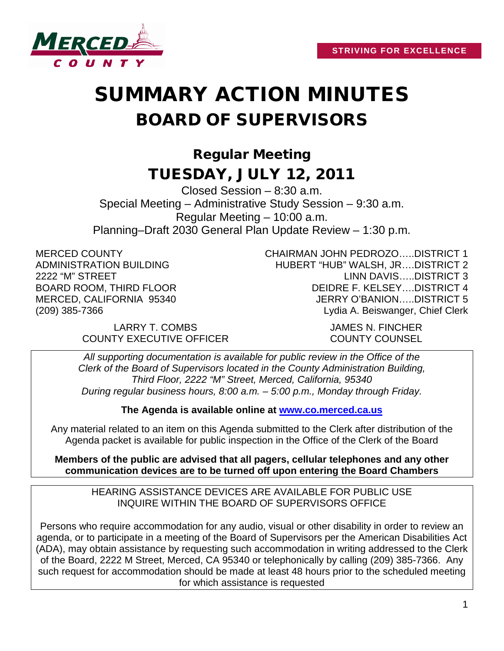

# SUMMARY ACTION MINUTES BOARD OF SUPERVISORS

# Regular Meeting TUESDAY, JULY 12, 2011

Closed Session – 8:30 a.m. Special Meeting – Administrative Study Session – 9:30 a.m. Regular Meeting – 10:00 a.m. Planning–Draft 2030 General Plan Update Review – 1:30 p.m.

MERCED COUNTY ADMINISTRATION BUILDING 2222 "M" STREET BOARD ROOM, THIRD FLOOR MERCED, CALIFORNIA 95340 (209) 385-7366

> LARRY T. COMBS JAMES N. FINCHER COUNTY EXECUTIVE OFFICER COUNTY COUNSEL

CHAIRMAN JOHN PEDROZO…..DISTRICT 1 HUBERT "HUB" WALSH, JR….DISTRICT 2 LINN DAVIS…..DISTRICT 3 DEIDRE F. KELSEY….DISTRICT 4 JERRY O'BANION…..DISTRICT 5 Lydia A. Beiswanger, Chief Clerk

*All supporting documentation is available for public review in the Office of the Clerk of the Board of Supervisors located in the County Administration Building, Third Floor, 2222 "M" Street, Merced, California, 95340 During regular business hours, 8:00 a.m. – 5:00 p.m., Monday through Friday.*

**The Agenda is available online at [www.co.merced.ca.us](http://www.co.merced.ca.us/)**

Any material related to an item on this Agenda submitted to the Clerk after distribution of the Agenda packet is available for public inspection in the Office of the Clerk of the Board

**Members of the public are advised that all pagers, cellular telephones and any other communication devices are to be turned off upon entering the Board Chambers**

HEARING ASSISTANCE DEVICES ARE AVAILABLE FOR PUBLIC USE INQUIRE WITHIN THE BOARD OF SUPERVISORS OFFICE

Persons who require accommodation for any audio, visual or other disability in order to review an agenda, or to participate in a meeting of the Board of Supervisors per the American Disabilities Act (ADA), may obtain assistance by requesting such accommodation in writing addressed to the Clerk of the Board, 2222 M Street, Merced, CA 95340 or telephonically by calling (209) 385-7366. Any such request for accommodation should be made at least 48 hours prior to the scheduled meeting for which assistance is requested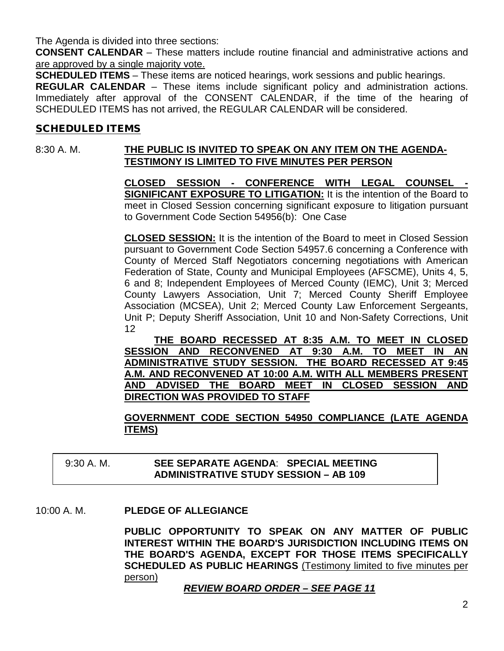The Agenda is divided into three sections:

**CONSENT CALENDAR** – These matters include routine financial and administrative actions and are approved by a single majority vote.

**SCHEDULED ITEMS** – These items are noticed hearings, work sessions and public hearings.

**REGULAR CALENDAR** – These items include significant policy and administration actions. Immediately after approval of the CONSENT CALENDAR, if the time of the hearing of SCHEDULED ITEMS has not arrived, the REGULAR CALENDAR will be considered.

#### SCHEDULED ITEMS

# 8:30 A. M. **THE PUBLIC IS INVITED TO SPEAK ON ANY ITEM ON THE AGENDA-TESTIMONY IS LIMITED TO FIVE MINUTES PER PERSON**

**CLOSED SESSION - CONFERENCE WITH LEGAL COUNSEL SIGNIFICANT EXPOSURE TO LITIGATION:** It is the intention of the Board to meet in Closed Session concerning significant exposure to litigation pursuant to Government Code Section 54956(b): One Case

**CLOSED SESSION:** It is the intention of the Board to meet in Closed Session pursuant to Government Code Section 54957.6 concerning a Conference with County of Merced Staff Negotiators concerning negotiations with American Federation of State, County and Municipal Employees (AFSCME), Units 4, 5, 6 and 8; Independent Employees of Merced County (IEMC), Unit 3; Merced County Lawyers Association, Unit 7; Merced County Sheriff Employee Association (MCSEA), Unit 2; Merced County Law Enforcement Sergeants, Unit P; Deputy Sheriff Association, Unit 10 and Non-Safety Corrections, Unit 12

**THE BOARD RECESSED AT 8:35 A.M. TO MEET IN CLOSED SESSION AND RECONVENED AT 9:30 A.M. TO MEET IN AN ADMINISTRATIVE STUDY SESSION. THE BOARD RECESSED AT 9:45 A.M. AND RECONVENED AT 10:00 A.M. WITH ALL MEMBERS PRESENT AND ADVISED THE BOARD MEET IN CLOSED SESSION AND DIRECTION WAS PROVIDED TO STAFF**

**GOVERNMENT CODE SECTION 54950 COMPLIANCE (LATE AGENDA ITEMS)**

# 9:30 A. M. **SEE SEPARATE AGENDA**: **SPECIAL MEETING ADMINISTRATIVE STUDY SESSION – AB 109**

#### 10:00 A. M. **PLEDGE OF ALLEGIANCE**

**PUBLIC OPPORTUNITY TO SPEAK ON ANY MATTER OF PUBLIC INTEREST WITHIN THE BOARD'S JURISDICTION INCLUDING ITEMS ON THE BOARD'S AGENDA, EXCEPT FOR THOSE ITEMS SPECIFICALLY SCHEDULED AS PUBLIC HEARINGS** (Testimony limited to five minutes per person)

*REVIEW BOARD ORDER – SEE PAGE 11*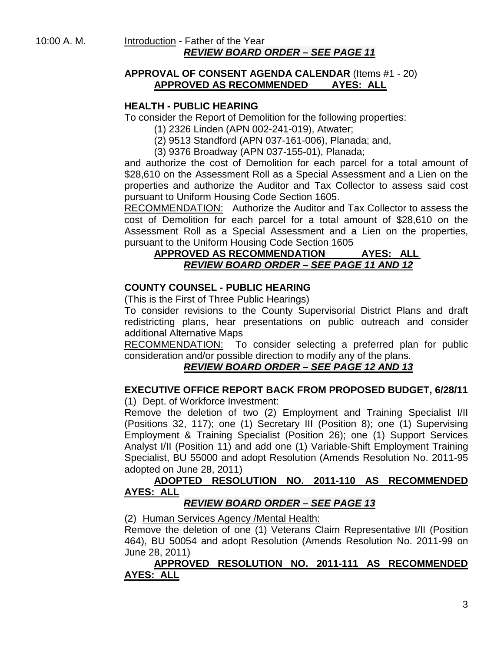#### 10:00 A. M. Introduction - Father of the Year *REVIEW BOARD ORDER – SEE PAGE 11*

#### **APPROVAL OF CONSENT AGENDA CALENDAR** (Items #1 - 20) **APPROVED AS RECOMMENDED AYES: ALL**

# **HEALTH - PUBLIC HEARING**

To consider the Report of Demolition for the following properties:

- (1) 2326 Linden (APN 002-241-019), Atwater;
- (2) 9513 Standford (APN 037-161-006), Planada; and,
- (3) 9376 Broadway (APN 037-155-01), Planada;

and authorize the cost of Demolition for each parcel for a total amount of \$28,610 on the Assessment Roll as a Special Assessment and a Lien on the properties and authorize the Auditor and Tax Collector to assess said cost pursuant to Uniform Housing Code Section 1605.

RECOMMENDATION: Authorize the Auditor and Tax Collector to assess the cost of Demolition for each parcel for a total amount of \$28,610 on the Assessment Roll as a Special Assessment and a Lien on the properties, pursuant to the Uniform Housing Code Section 1605

#### **APPROVED AS RECOMMENDATION AYES: ALL** *REVIEW BOARD ORDER – SEE PAGE 11 AND 12*

#### **COUNTY COUNSEL - PUBLIC HEARING**

(This is the First of Three Public Hearings)

To consider revisions to the County Supervisorial District Plans and draft redistricting plans, hear presentations on public outreach and consider additional Alternative Maps

RECOMMENDATION: To consider selecting a preferred plan for public consideration and/or possible direction to modify any of the plans.

# *REVIEW BOARD ORDER – SEE PAGE 12 AND 13*

#### **EXECUTIVE OFFICE REPORT BACK FROM PROPOSED BUDGET, 6/28/11** (1) Dept. of Workforce Investment:

Remove the deletion of two (2) Employment and Training Specialist I/II (Positions 32, 117); one (1) Secretary III (Position 8); one (1) Supervising Employment & Training Specialist (Position 26); one (1) Support Services Analyst I/II (Position 11) and add one (1) Variable-Shift Employment Training Specialist, BU 55000 and adopt Resolution (Amends Resolution No. 2011-95 adopted on June 28, 2011)

#### **ADOPTED RESOLUTION NO. 2011-110 AS RECOMMENDED AYES: ALL**

# *REVIEW BOARD ORDER – SEE PAGE 13*

(2) Human Services Agency /Mental Health:

Remove the deletion of one (1) Veterans Claim Representative I/II (Position 464), BU 50054 and adopt Resolution (Amends Resolution No. 2011-99 on June 28, 2011)

#### **APPROVED RESOLUTION NO. 2011-111 AS RECOMMENDED AYES: ALL**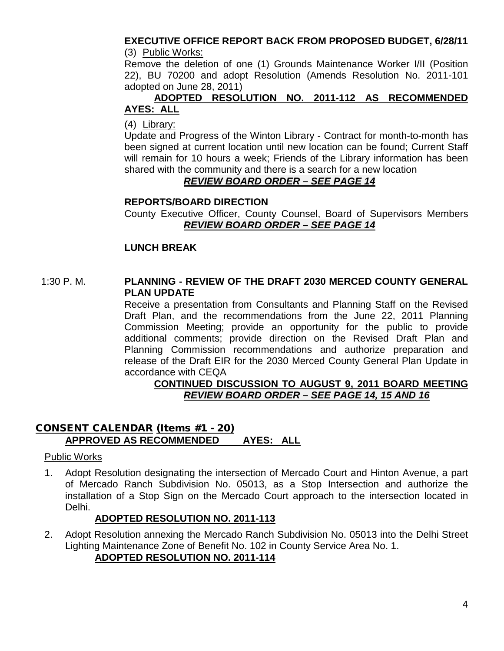#### **EXECUTIVE OFFICE REPORT BACK FROM PROPOSED BUDGET, 6/28/11** (3) Public Works:

Remove the deletion of one (1) Grounds Maintenance Worker I/II (Position 22), BU 70200 and adopt Resolution (Amends Resolution No. 2011-101 adopted on June 28, 2011)

#### **ADOPTED RESOLUTION NO. 2011-112 AS RECOMMENDED AYES: ALL**

#### (4) Library:

Update and Progress of the Winton Library - Contract for month-to-month has been signed at current location until new location can be found; Current Staff will remain for 10 hours a week; Friends of the Library information has been shared with the community and there is a search for a new location

#### *REVIEW BOARD ORDER – SEE PAGE 14*

#### **REPORTS/BOARD DIRECTION**

County Executive Officer, County Counsel, Board of Supervisors Members *REVIEW BOARD ORDER – SEE PAGE 14*

# **LUNCH BREAK**

#### 1:30 P. M. **PLANNING - REVIEW OF THE DRAFT 2030 MERCED COUNTY GENERAL PLAN UPDATE**

Receive a presentation from Consultants and Planning Staff on the Revised Draft Plan, and the recommendations from the June 22, 2011 Planning Commission Meeting; provide an opportunity for the public to provide additional comments; provide direction on the Revised Draft Plan and Planning Commission recommendations and authorize preparation and release of the Draft EIR for the 2030 Merced County General Plan Update in accordance with CEQA

#### **CONTINUED DISCUSSION TO AUGUST 9, 2011 BOARD MEETING**  *REVIEW BOARD ORDER – SEE PAGE 14, 15 AND 16*

# CONSENT CALENDAR (Items #1 - 20) **APPROVED AS RECOMMENDED AYES: ALL**

#### Public Works

1. Adopt Resolution designating the intersection of Mercado Court and Hinton Avenue, a part of Mercado Ranch Subdivision No. 05013, as a Stop Intersection and authorize the installation of a Stop Sign on the Mercado Court approach to the intersection located in Delhi.

#### **ADOPTED RESOLUTION NO. 2011-113**

2. Adopt Resolution annexing the Mercado Ranch Subdivision No. 05013 into the Delhi Street Lighting Maintenance Zone of Benefit No. 102 in County Service Area No. 1.

# **ADOPTED RESOLUTION NO. 2011-114**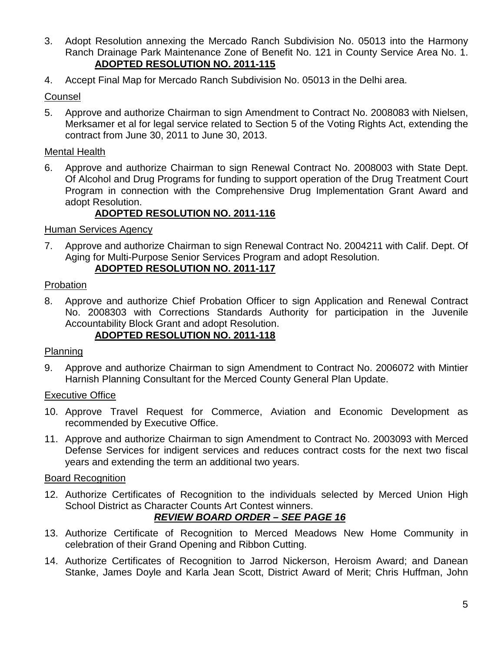- 3. Adopt Resolution annexing the Mercado Ranch Subdivision No. 05013 into the Harmony Ranch Drainage Park Maintenance Zone of Benefit No. 121 in County Service Area No. 1. **ADOPTED RESOLUTION NO. 2011-115**
- 4. Accept Final Map for Mercado Ranch Subdivision No. 05013 in the Delhi area.

# Counsel

5. Approve and authorize Chairman to sign Amendment to Contract No. 2008083 with Nielsen, Merksamer et al for legal service related to Section 5 of the Voting Rights Act, extending the contract from June 30, 2011 to June 30, 2013.

# Mental Health

6. Approve and authorize Chairman to sign Renewal Contract No. 2008003 with State Dept. Of Alcohol and Drug Programs for funding to support operation of the Drug Treatment Court Program in connection with the Comprehensive Drug Implementation Grant Award and adopt Resolution.

# **ADOPTED RESOLUTION NO. 2011-116**

# Human Services Agency

7. Approve and authorize Chairman to sign Renewal Contract No. 2004211 with Calif. Dept. Of Aging for Multi-Purpose Senior Services Program and adopt Resolution.

# **ADOPTED RESOLUTION NO. 2011-117**

#### Probation

8. Approve and authorize Chief Probation Officer to sign Application and Renewal Contract No. 2008303 with Corrections Standards Authority for participation in the Juvenile Accountability Block Grant and adopt Resolution. **ADOPTED RESOLUTION NO. 2011-118**

# Planning

9. Approve and authorize Chairman to sign Amendment to Contract No. 2006072 with Mintier Harnish Planning Consultant for the Merced County General Plan Update.

# Executive Office

- 10. Approve Travel Request for Commerce, Aviation and Economic Development as recommended by Executive Office.
- 11. Approve and authorize Chairman to sign Amendment to Contract No. 2003093 with Merced Defense Services for indigent services and reduces contract costs for the next two fiscal years and extending the term an additional two years.

# Board Recognition

12. Authorize Certificates of Recognition to the individuals selected by Merced Union High School District as Character Counts Art Contest winners.

# *REVIEW BOARD ORDER – SEE PAGE 16*

- 13. Authorize Certificate of Recognition to Merced Meadows New Home Community in celebration of their Grand Opening and Ribbon Cutting.
- 14. Authorize Certificates of Recognition to Jarrod Nickerson, Heroism Award; and Danean Stanke, James Doyle and Karla Jean Scott, District Award of Merit; Chris Huffman, John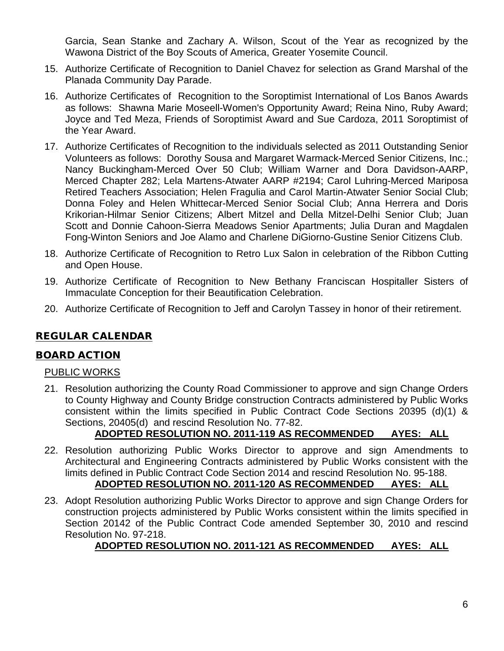Garcia, Sean Stanke and Zachary A. Wilson, Scout of the Year as recognized by the Wawona District of the Boy Scouts of America, Greater Yosemite Council.

- 15. Authorize Certificate of Recognition to Daniel Chavez for selection as Grand Marshal of the Planada Community Day Parade.
- 16. Authorize Certificates of Recognition to the Soroptimist International of Los Banos Awards as follows: Shawna Marie Moseell-Women's Opportunity Award; Reina Nino, Ruby Award; Joyce and Ted Meza, Friends of Soroptimist Award and Sue Cardoza, 2011 Soroptimist of the Year Award.
- 17. Authorize Certificates of Recognition to the individuals selected as 2011 Outstanding Senior Volunteers as follows: Dorothy Sousa and Margaret Warmack-Merced Senior Citizens, Inc.; Nancy Buckingham-Merced Over 50 Club; William Warner and Dora Davidson-AARP, Merced Chapter 282; Lela Martens-Atwater AARP #2194; Carol Luhring-Merced Mariposa Retired Teachers Association; Helen Fragulia and Carol Martin-Atwater Senior Social Club; Donna Foley and Helen Whittecar-Merced Senior Social Club; Anna Herrera and Doris Krikorian-Hilmar Senior Citizens; Albert Mitzel and Della Mitzel-Delhi Senior Club; Juan Scott and Donnie Cahoon-Sierra Meadows Senior Apartments; Julia Duran and Magdalen Fong-Winton Seniors and Joe Alamo and Charlene DiGiorno-Gustine Senior Citizens Club.
- 18. Authorize Certificate of Recognition to Retro Lux Salon in celebration of the Ribbon Cutting and Open House.
- 19. Authorize Certificate of Recognition to New Bethany Franciscan Hospitaller Sisters of Immaculate Conception for their Beautification Celebration.
- 20. Authorize Certificate of Recognition to Jeff and Carolyn Tassey in honor of their retirement.

# REGULAR CALENDAR

# BOARD ACTION

#### PUBLIC WORKS

21. Resolution authorizing the County Road Commissioner to approve and sign Change Orders to County Highway and County Bridge construction Contracts administered by Public Works consistent within the limits specified in Public Contract Code Sections 20395 (d)(1) & Sections, 20405(d) and rescind Resolution No. 77-82.

# **ADOPTED RESOLUTION NO. 2011-119 AS RECOMMENDED AYES: ALL**

- 22. Resolution authorizing Public Works Director to approve and sign Amendments to Architectural and Engineering Contracts administered by Public Works consistent with the limits defined in Public Contract Code Section 2014 and rescind Resolution No. 95-188. **ADOPTED RESOLUTION NO. 2011-120 AS RECOMMENDED AYES: ALL**
- 23. Adopt Resolution authorizing Public Works Director to approve and sign Change Orders for construction projects administered by Public Works consistent within the limits specified in Section 20142 of the Public Contract Code amended September 30, 2010 and rescind Resolution No. 97-218.

# **ADOPTED RESOLUTION NO. 2011-121 AS RECOMMENDED AYES: ALL**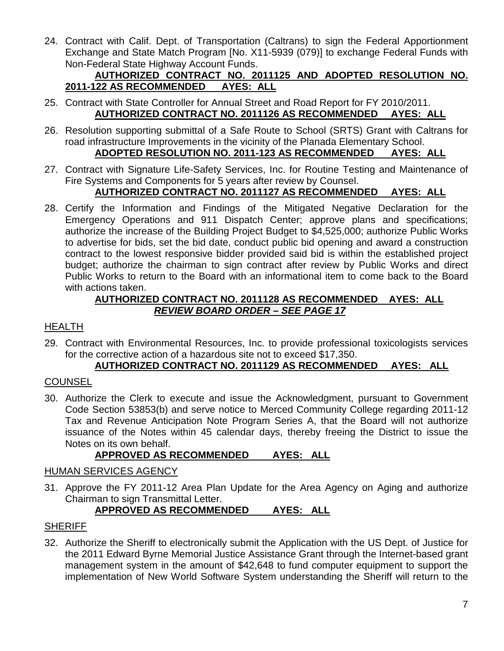24. Contract with Calif. Dept. of Transportation (Caltrans) to sign the Federal Apportionment Exchange and State Match Program [No. X11-5939 (079)] to exchange Federal Funds with Non-Federal State Highway Account Funds.

#### **AUTHORIZED CONTRACT NO. 2011125 AND ADOPTED RESOLUTION NO. 2011-122 AS RECOMMENDED AYES: ALL**

- 25. Contract with State Controller for Annual Street and Road Report for FY 2010/2011. **AUTHORIZED CONTRACT NO. 2011126 AS RECOMMENDED AYES: ALL**
- 26. Resolution supporting submittal of a Safe Route to School (SRTS) Grant with Caltrans for road infrastructure Improvements in the vicinity of the Planada Elementary School. **ADOPTED RESOLUTION NO. 2011-123 AS RECOMMENDED AYES: ALL**
- 27. Contract with Signature Life-Safety Services, Inc. for Routine Testing and Maintenance of Fire Systems and Components for 5 years after review by Counsel.

# **AUTHORIZED CONTRACT NO. 2011127 AS RECOMMENDED AYES: ALL**

28. Certify the Information and Findings of the Mitigated Negative Declaration for the Emergency Operations and 911 Dispatch Center; approve plans and specifications; authorize the increase of the Building Project Budget to \$4,525,000; authorize Public Works to advertise for bids, set the bid date, conduct public bid opening and award a construction contract to the lowest responsive bidder provided said bid is within the established project budget; authorize the chairman to sign contract after review by Public Works and direct Public Works to return to the Board with an informational item to come back to the Board with actions taken.

# **AUTHORIZED CONTRACT NO. 2011128 AS RECOMMENDED AYES: ALL** *REVIEW BOARD ORDER – SEE PAGE 17*

# **HEALTH**

29. Contract with Environmental Resources, Inc. to provide professional toxicologists services for the corrective action of a hazardous site not to exceed \$17,350.

# **AUTHORIZED CONTRACT NO. 2011129 AS RECOMMENDED AYES: ALL**

# **COUNSEL**

30. Authorize the Clerk to execute and issue the Acknowledgment, pursuant to Government Code Section 53853(b) and serve notice to Merced Community College regarding 2011-12 Tax and Revenue Anticipation Note Program Series A, that the Board will not authorize issuance of the Notes within 45 calendar days, thereby freeing the District to issue the Notes on its own behalf.

# **APPROVED AS RECOMMENDED AYES: ALL**

# HUMAN SERVICES AGENCY

31. Approve the FY 2011-12 Area Plan Update for the Area Agency on Aging and authorize Chairman to sign Transmittal Letter.

# **APPROVED AS RECOMMENDED AYES: ALL**

# **SHERIFF**

32. Authorize the Sheriff to electronically submit the Application with the US Dept. of Justice for the 2011 Edward Byrne Memorial Justice Assistance Grant through the Internet-based grant management system in the amount of \$42,648 to fund computer equipment to support the implementation of New World Software System understanding the Sheriff will return to the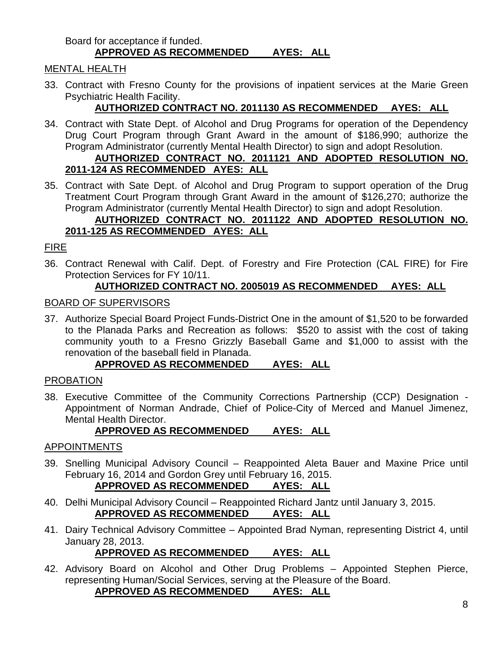#### Board for acceptance if funded. **APPROVED AS RECOMMENDED AYES: ALL**

# MENTAL HEALTH

33. Contract with Fresno County for the provisions of inpatient services at the Marie Green Psychiatric Health Facility.

# **AUTHORIZED CONTRACT NO. 2011130 AS RECOMMENDED AYES: ALL**

34. Contract with State Dept. of Alcohol and Drug Programs for operation of the Dependency Drug Court Program through Grant Award in the amount of \$186,990; authorize the Program Administrator (currently Mental Health Director) to sign and adopt Resolution. **AUTHORIZED CONTRACT NO. 2011121 AND ADOPTED RESOLUTION NO.** 

# **2011-124 AS RECOMMENDED AYES: ALL**

35. Contract with Sate Dept. of Alcohol and Drug Program to support operation of the Drug Treatment Court Program through Grant Award in the amount of \$126,270; authorize the Program Administrator (currently Mental Health Director) to sign and adopt Resolution.

#### **AUTHORIZED CONTRACT NO. 2011122 AND ADOPTED RESOLUTION NO. 2011-125 AS RECOMMENDED AYES: ALL**

# FIRE

36. Contract Renewal with Calif. Dept. of Forestry and Fire Protection (CAL FIRE) for Fire Protection Services for FY 10/11.

# **AUTHORIZED CONTRACT NO. 2005019 AS RECOMMENDED AYES: ALL**

# BOARD OF SUPERVISORS

37. Authorize Special Board Project Funds-District One in the amount of \$1,520 to be forwarded to the Planada Parks and Recreation as follows: \$520 to assist with the cost of taking community youth to a Fresno Grizzly Baseball Game and \$1,000 to assist with the renovation of the baseball field in Planada.

# **APPROVED AS RECOMMENDED AYES: ALL**

# PROBATION

38. Executive Committee of the Community Corrections Partnership (CCP) Designation - Appointment of Norman Andrade, Chief of Police-City of Merced and Manuel Jimenez, Mental Health Director.

# **APPROVED AS RECOMMENDED AYES: ALL**

# APPOINTMENTS

- 39. Snelling Municipal Advisory Council Reappointed Aleta Bauer and Maxine Price until February 16, 2014 and Gordon Grey until February 16, 2015. **APPROVED AS RECOMMENDED AYES: ALL**
- 40. Delhi Municipal Advisory Council Reappointed Richard Jantz until January 3, 2015. **APPROVED AS RECOMMENDED AYES: ALL**
- 41. Dairy Technical Advisory Committee Appointed Brad Nyman, representing District 4, until January 28, 2013.

# **APPROVED AS RECOMMENDED AYES: ALL**

42. Advisory Board on Alcohol and Other Drug Problems – Appointed Stephen Pierce, representing Human/Social Services, serving at the Pleasure of the Board.

# **APPROVED AS RECOMMENDED AYES: ALL**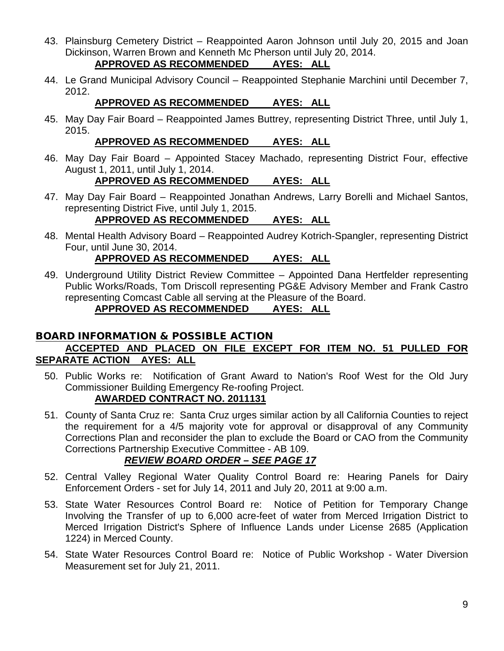- 43. Plainsburg Cemetery District Reappointed Aaron Johnson until July 20, 2015 and Joan Dickinson, Warren Brown and Kenneth Mc Pherson until July 20, 2014.
	- **APPROVED AS RECOMMENDED AYES: ALL**
- 44. Le Grand Municipal Advisory Council Reappointed Stephanie Marchini until December 7, 2012.

# **APPROVED AS RECOMMENDED AYES: ALL**

45. May Day Fair Board – Reappointed James Buttrey, representing District Three, until July 1, 2015.

# **APPROVED AS RECOMMENDED AYES: ALL**

46. May Day Fair Board – Appointed Stacey Machado, representing District Four, effective August 1, 2011, until July 1, 2014.

#### **APPROVED AS RECOMMENDED AYES: ALL**

47. May Day Fair Board – Reappointed Jonathan Andrews, Larry Borelli and Michael Santos, representing District Five, until July 1, 2015.

# **APPROVED AS RECOMMENDED AYES: ALL**

48. Mental Health Advisory Board – Reappointed Audrey Kotrich-Spangler, representing District Four, until June 30, 2014.

#### **APPROVED AS RECOMMENDED AYES: ALL**

49. Underground Utility District Review Committee – Appointed Dana Hertfelder representing Public Works/Roads, Tom Driscoll representing PG&E Advisory Member and Frank Castro representing Comcast Cable all serving at the Pleasure of the Board.

#### **APPROVED AS RECOMMENDED AYES: ALL**

#### BOARD INFORMATION & POSSIBLE ACTION **ACCEPTED AND PLACED ON FILE EXCEPT FOR ITEM NO. 51 PULLED FOR SEPARATE ACTION AYES: ALL**

- 50. Public Works re: Notification of Grant Award to Nation's Roof West for the Old Jury Commissioner Building Emergency Re-roofing Project. **AWARDED CONTRACT NO. 2011131**
- 51. County of Santa Cruz re: Santa Cruz urges similar action by all California Counties to reject the requirement for a 4/5 majority vote for approval or disapproval of any Community Corrections Plan and reconsider the plan to exclude the Board or CAO from the Community Corrections Partnership Executive Committee - AB 109.

# *REVIEW BOARD ORDER – SEE PAGE 17*

- 52. Central Valley Regional Water Quality Control Board re: Hearing Panels for Dairy Enforcement Orders - set for July 14, 2011 and July 20, 2011 at 9:00 a.m.
- 53. State Water Resources Control Board re: Notice of Petition for Temporary Change Involving the Transfer of up to 6,000 acre-feet of water from Merced Irrigation District to Merced Irrigation District's Sphere of Influence Lands under License 2685 (Application 1224) in Merced County.
- 54. State Water Resources Control Board re: Notice of Public Workshop Water Diversion Measurement set for July 21, 2011.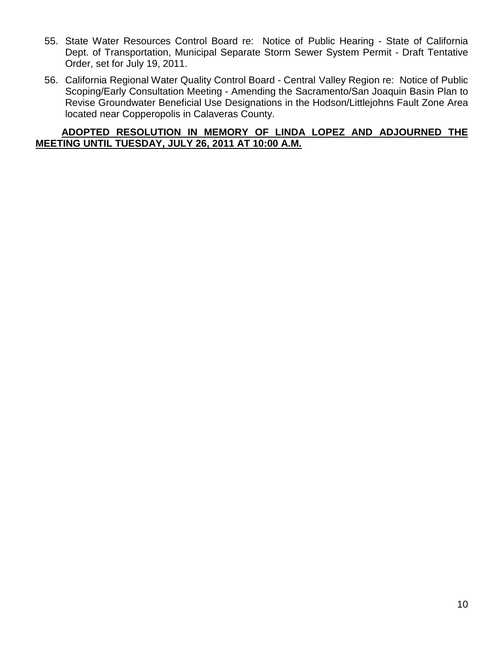- 55. State Water Resources Control Board re: Notice of Public Hearing State of California Dept. of Transportation, Municipal Separate Storm Sewer System Permit - Draft Tentative Order, set for July 19, 2011.
- 56. California Regional Water Quality Control Board Central Valley Region re: Notice of Public Scoping/Early Consultation Meeting - Amending the Sacramento/San Joaquin Basin Plan to Revise Groundwater Beneficial Use Designations in the Hodson/Littlejohns Fault Zone Area located near Copperopolis in Calaveras County.

#### **ADOPTED RESOLUTION IN MEMORY OF LINDA LOPEZ AND ADJOURNED THE MEETING UNTIL TUESDAY, JULY 26, 2011 AT 10:00 A.M.**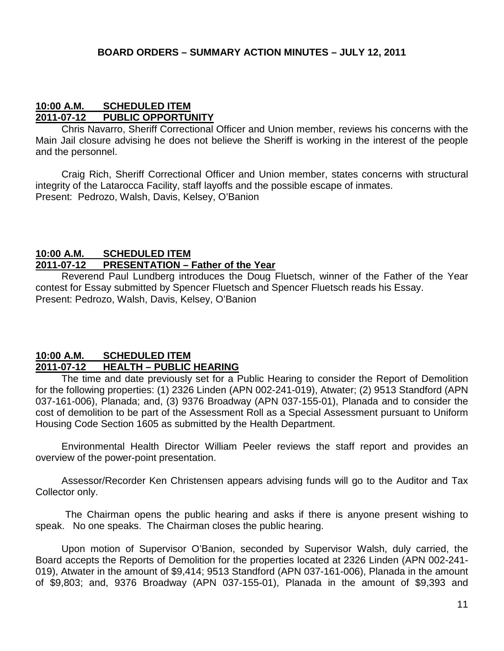#### **10:00 A.M. SCHEDULED ITEM 2011-07-12 PUBLIC OPPORTUNITY**

Chris Navarro, Sheriff Correctional Officer and Union member, reviews his concerns with the Main Jail closure advising he does not believe the Sheriff is working in the interest of the people and the personnel.

Craig Rich, Sheriff Correctional Officer and Union member, states concerns with structural integrity of the Latarocca Facility, staff layoffs and the possible escape of inmates. Present: Pedrozo, Walsh, Davis, Kelsey, O'Banion

#### **10:00 A.M. SCHEDULED ITEM 2011-07-12 PRESENTATION – Father of the Year**

Reverend Paul Lundberg introduces the Doug Fluetsch, winner of the Father of the Year contest for Essay submitted by Spencer Fluetsch and Spencer Fluetsch reads his Essay. Present: Pedrozo, Walsh, Davis, Kelsey, O'Banion

#### **10:00 A.M. SCHEDULED ITEM 2011-07-12 HEALTH – PUBLIC HEARING**

The time and date previously set for a Public Hearing to consider the Report of Demolition for the following properties: (1) 2326 Linden (APN 002-241-019), Atwater; (2) 9513 Standford (APN 037-161-006), Planada; and, (3) 9376 Broadway (APN 037-155-01), Planada and to consider the cost of demolition to be part of the Assessment Roll as a Special Assessment pursuant to Uniform Housing Code Section 1605 as submitted by the Health Department.

Environmental Health Director William Peeler reviews the staff report and provides an overview of the power-point presentation.

Assessor/Recorder Ken Christensen appears advising funds will go to the Auditor and Tax Collector only.

The Chairman opens the public hearing and asks if there is anyone present wishing to speak. No one speaks. The Chairman closes the public hearing.

Upon motion of Supervisor O'Banion, seconded by Supervisor Walsh, duly carried, the Board accepts the Reports of Demolition for the properties located at 2326 Linden (APN 002-241- 019), Atwater in the amount of \$9,414; 9513 Standford (APN 037-161-006), Planada in the amount of \$9,803; and, 9376 Broadway (APN 037-155-01), Planada in the amount of \$9,393 and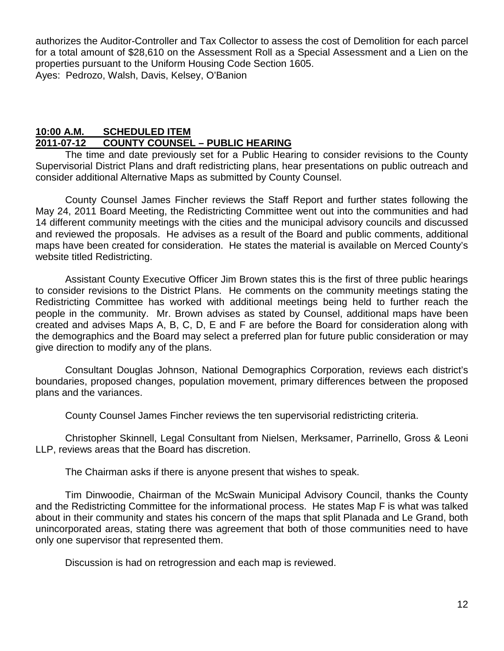authorizes the Auditor-Controller and Tax Collector to assess the cost of Demolition for each parcel for a total amount of \$28,610 on the Assessment Roll as a Special Assessment and a Lien on the properties pursuant to the Uniform Housing Code Section 1605. Ayes: Pedrozo, Walsh, Davis, Kelsey, O'Banion

#### **10:00 A.M. SCHEDULED ITEM 2011-07-12 COUNTY COUNSEL – PUBLIC HEARING**

The time and date previously set for a Public Hearing to consider revisions to the County Supervisorial District Plans and draft redistricting plans, hear presentations on public outreach and consider additional Alternative Maps as submitted by County Counsel.

County Counsel James Fincher reviews the Staff Report and further states following the May 24, 2011 Board Meeting, the Redistricting Committee went out into the communities and had 14 different community meetings with the cities and the municipal advisory councils and discussed and reviewed the proposals. He advises as a result of the Board and public comments, additional maps have been created for consideration. He states the material is available on Merced County's website titled Redistricting.

Assistant County Executive Officer Jim Brown states this is the first of three public hearings to consider revisions to the District Plans. He comments on the community meetings stating the Redistricting Committee has worked with additional meetings being held to further reach the people in the community. Mr. Brown advises as stated by Counsel, additional maps have been created and advises Maps A, B, C, D, E and F are before the Board for consideration along with the demographics and the Board may select a preferred plan for future public consideration or may give direction to modify any of the plans.

Consultant Douglas Johnson, National Demographics Corporation, reviews each district's boundaries, proposed changes, population movement, primary differences between the proposed plans and the variances.

County Counsel James Fincher reviews the ten supervisorial redistricting criteria.

Christopher Skinnell, Legal Consultant from Nielsen, Merksamer, Parrinello, Gross & Leoni LLP, reviews areas that the Board has discretion.

The Chairman asks if there is anyone present that wishes to speak.

Tim Dinwoodie, Chairman of the McSwain Municipal Advisory Council, thanks the County and the Redistricting Committee for the informational process. He states Map F is what was talked about in their community and states his concern of the maps that split Planada and Le Grand, both unincorporated areas, stating there was agreement that both of those communities need to have only one supervisor that represented them.

Discussion is had on retrogression and each map is reviewed.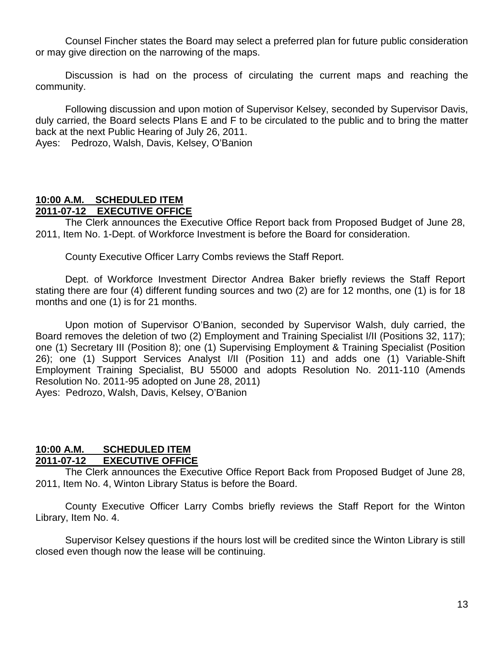Counsel Fincher states the Board may select a preferred plan for future public consideration or may give direction on the narrowing of the maps.

Discussion is had on the process of circulating the current maps and reaching the community.

Following discussion and upon motion of Supervisor Kelsey, seconded by Supervisor Davis, duly carried, the Board selects Plans E and F to be circulated to the public and to bring the matter back at the next Public Hearing of July 26, 2011. Ayes: Pedrozo, Walsh, Davis, Kelsey, O'Banion

#### **10:00 A.M. SCHEDULED ITEM 2011-07-12 EXECUTIVE OFFICE**

The Clerk announces the Executive Office Report back from Proposed Budget of June 28, 2011, Item No. 1-Dept. of Workforce Investment is before the Board for consideration.

County Executive Officer Larry Combs reviews the Staff Report.

Dept. of Workforce Investment Director Andrea Baker briefly reviews the Staff Report stating there are four (4) different funding sources and two (2) are for 12 months, one (1) is for 18 months and one (1) is for 21 months.

Upon motion of Supervisor O'Banion, seconded by Supervisor Walsh, duly carried, the Board removes the deletion of two (2) Employment and Training Specialist I/II (Positions 32, 117); one (1) Secretary III (Position 8); one (1) Supervising Employment & Training Specialist (Position 26); one (1) Support Services Analyst I/II (Position 11) and adds one (1) Variable-Shift Employment Training Specialist, BU 55000 and adopts Resolution No. 2011-110 (Amends Resolution No. 2011-95 adopted on June 28, 2011) Ayes: Pedrozo, Walsh, Davis, Kelsey, O'Banion

#### **10:00 A.M. SCHEDULED ITEM EXECUTIVE OFFICE**

The Clerk announces the Executive Office Report Back from Proposed Budget of June 28, 2011, Item No. 4, Winton Library Status is before the Board.

County Executive Officer Larry Combs briefly reviews the Staff Report for the Winton Library, Item No. 4.

Supervisor Kelsey questions if the hours lost will be credited since the Winton Library is still closed even though now the lease will be continuing.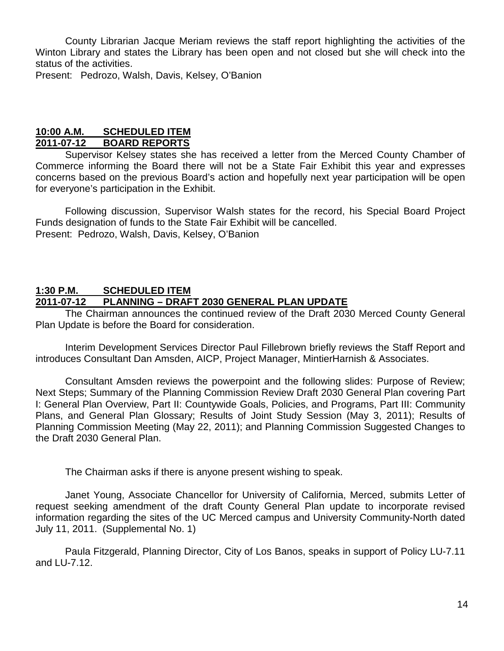County Librarian Jacque Meriam reviews the staff report highlighting the activities of the Winton Library and states the Library has been open and not closed but she will check into the status of the activities.

Present: Pedrozo, Walsh, Davis, Kelsey, O'Banion

#### **10:00 A.M. SCHEDULED ITEM 2011-07-12 BOARD REPORTS**

Supervisor Kelsey states she has received a letter from the Merced County Chamber of Commerce informing the Board there will not be a State Fair Exhibit this year and expresses concerns based on the previous Board's action and hopefully next year participation will be open for everyone's participation in the Exhibit.

Following discussion, Supervisor Walsh states for the record, his Special Board Project Funds designation of funds to the State Fair Exhibit will be cancelled. Present: Pedrozo, Walsh, Davis, Kelsey, O'Banion

#### **1:30 P.M. SCHEDULED ITEM**

#### **2011-07-12 PLANNING – DRAFT 2030 GENERAL PLAN UPDATE**

The Chairman announces the continued review of the Draft 2030 Merced County General Plan Update is before the Board for consideration.

Interim Development Services Director Paul Fillebrown briefly reviews the Staff Report and introduces Consultant Dan Amsden, AICP, Project Manager, MintierHarnish & Associates.

Consultant Amsden reviews the powerpoint and the following slides: Purpose of Review; Next Steps; Summary of the Planning Commission Review Draft 2030 General Plan covering Part I: General Plan Overview, Part II: Countywide Goals, Policies, and Programs, Part III: Community Plans, and General Plan Glossary; Results of Joint Study Session (May 3, 2011); Results of Planning Commission Meeting (May 22, 2011); and Planning Commission Suggested Changes to the Draft 2030 General Plan.

The Chairman asks if there is anyone present wishing to speak.

Janet Young, Associate Chancellor for University of California, Merced, submits Letter of request seeking amendment of the draft County General Plan update to incorporate revised information regarding the sites of the UC Merced campus and University Community-North dated July 11, 2011. (Supplemental No. 1)

Paula Fitzgerald, Planning Director, City of Los Banos, speaks in support of Policy LU-7.11 and LU-7.12.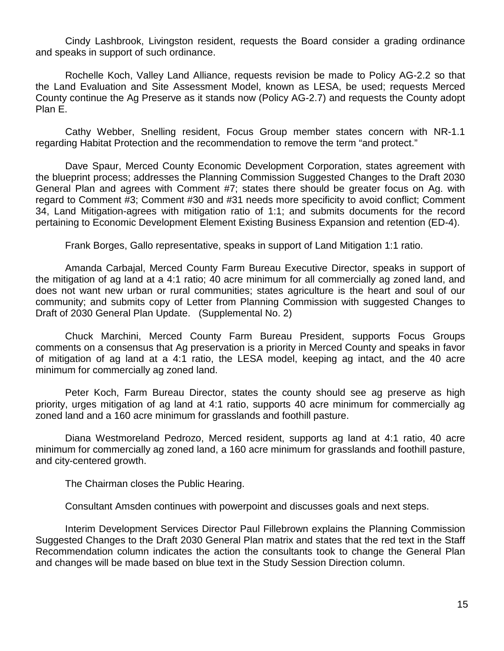Cindy Lashbrook, Livingston resident, requests the Board consider a grading ordinance and speaks in support of such ordinance.

Rochelle Koch, Valley Land Alliance, requests revision be made to Policy AG-2.2 so that the Land Evaluation and Site Assessment Model, known as LESA, be used; requests Merced County continue the Ag Preserve as it stands now (Policy AG-2.7) and requests the County adopt Plan E.

Cathy Webber, Snelling resident, Focus Group member states concern with NR-1.1 regarding Habitat Protection and the recommendation to remove the term "and protect."

Dave Spaur, Merced County Economic Development Corporation, states agreement with the blueprint process; addresses the Planning Commission Suggested Changes to the Draft 2030 General Plan and agrees with Comment #7; states there should be greater focus on Ag. with regard to Comment #3; Comment #30 and #31 needs more specificity to avoid conflict; Comment 34, Land Mitigation-agrees with mitigation ratio of 1:1; and submits documents for the record pertaining to Economic Development Element Existing Business Expansion and retention (ED-4).

Frank Borges, Gallo representative, speaks in support of Land Mitigation 1:1 ratio.

Amanda Carbajal, Merced County Farm Bureau Executive Director, speaks in support of the mitigation of ag land at a 4:1 ratio; 40 acre minimum for all commercially ag zoned land, and does not want new urban or rural communities; states agriculture is the heart and soul of our community; and submits copy of Letter from Planning Commission with suggested Changes to Draft of 2030 General Plan Update. (Supplemental No. 2)

Chuck Marchini, Merced County Farm Bureau President, supports Focus Groups comments on a consensus that Ag preservation is a priority in Merced County and speaks in favor of mitigation of ag land at a 4:1 ratio, the LESA model, keeping ag intact, and the 40 acre minimum for commercially ag zoned land.

Peter Koch, Farm Bureau Director, states the county should see ag preserve as high priority, urges mitigation of ag land at 4:1 ratio, supports 40 acre minimum for commercially ag zoned land and a 160 acre minimum for grasslands and foothill pasture.

Diana Westmoreland Pedrozo, Merced resident, supports ag land at 4:1 ratio, 40 acre minimum for commercially ag zoned land, a 160 acre minimum for grasslands and foothill pasture, and city-centered growth.

The Chairman closes the Public Hearing.

Consultant Amsden continues with powerpoint and discusses goals and next steps.

Interim Development Services Director Paul Fillebrown explains the Planning Commission Suggested Changes to the Draft 2030 General Plan matrix and states that the red text in the Staff Recommendation column indicates the action the consultants took to change the General Plan and changes will be made based on blue text in the Study Session Direction column.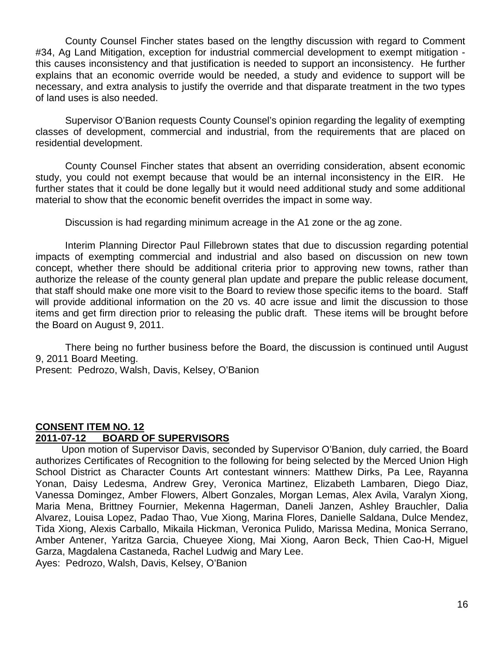County Counsel Fincher states based on the lengthy discussion with regard to Comment #34, Ag Land Mitigation, exception for industrial commercial development to exempt mitigation this causes inconsistency and that justification is needed to support an inconsistency. He further explains that an economic override would be needed, a study and evidence to support will be necessary, and extra analysis to justify the override and that disparate treatment in the two types of land uses is also needed.

Supervisor O'Banion requests County Counsel's opinion regarding the legality of exempting classes of development, commercial and industrial, from the requirements that are placed on residential development.

County Counsel Fincher states that absent an overriding consideration, absent economic study, you could not exempt because that would be an internal inconsistency in the EIR. He further states that it could be done legally but it would need additional study and some additional material to show that the economic benefit overrides the impact in some way.

Discussion is had regarding minimum acreage in the A1 zone or the ag zone.

Interim Planning Director Paul Fillebrown states that due to discussion regarding potential impacts of exempting commercial and industrial and also based on discussion on new town concept, whether there should be additional criteria prior to approving new towns, rather than authorize the release of the county general plan update and prepare the public release document, that staff should make one more visit to the Board to review those specific items to the board. Staff will provide additional information on the 20 vs. 40 acre issue and limit the discussion to those items and get firm direction prior to releasing the public draft. These items will be brought before the Board on August 9, 2011.

There being no further business before the Board, the discussion is continued until August 9, 2011 Board Meeting.

Present: Pedrozo, Walsh, Davis, Kelsey, O'Banion

#### **CONSENT ITEM NO. 12 2011-07-12 BOARD OF SUPERVISORS**

Upon motion of Supervisor Davis, seconded by Supervisor O'Banion, duly carried, the Board authorizes Certificates of Recognition to the following for being selected by the Merced Union High School District as Character Counts Art contestant winners: Matthew Dirks, Pa Lee, Rayanna Yonan, Daisy Ledesma, Andrew Grey, Veronica Martinez, Elizabeth Lambaren, Diego Diaz, Vanessa Domingez, Amber Flowers, Albert Gonzales, Morgan Lemas, Alex Avila, Varalyn Xiong, Maria Mena, Brittney Fournier, Mekenna Hagerman, Daneli Janzen, Ashley Brauchler, Dalia Alvarez, Louisa Lopez, Padao Thao, Vue Xiong, Marina Flores, Danielle Saldana, Dulce Mendez, Tida Xiong, Alexis Carballo, Mikaila Hickman, Veronica Pulido, Marissa Medina, Monica Serrano, Amber Antener, Yaritza Garcia, Chueyee Xiong, Mai Xiong, Aaron Beck, Thien Cao-H, Miguel Garza, Magdalena Castaneda, Rachel Ludwig and Mary Lee.

Ayes: Pedrozo, Walsh, Davis, Kelsey, O'Banion